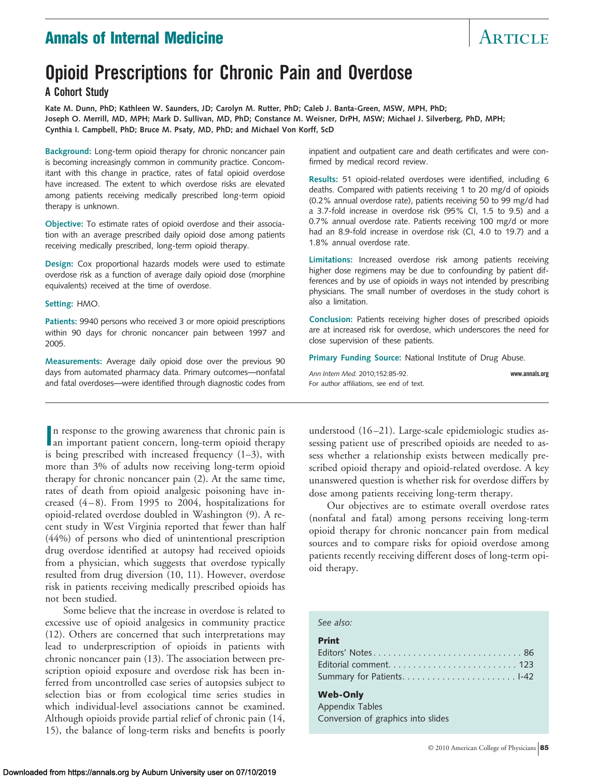# **Annals of Internal Medicine** Annal Article

# **Opioid Prescriptions for Chronic Pain and Overdose**

**A Cohort Study**

**Kate M. Dunn, PhD; Kathleen W. Saunders, JD; Carolyn M. Rutter, PhD; Caleb J. Banta-Green, MSW, MPH, PhD; Joseph O. Merrill, MD, MPH; Mark D. Sullivan, MD, PhD; Constance M. Weisner, DrPH, MSW; Michael J. Silverberg, PhD, MPH; Cynthia I. Campbell, PhD; Bruce M. Psaty, MD, PhD; and Michael Von Korff, ScD**

**Background:** Long-term opioid therapy for chronic noncancer pain is becoming increasingly common in community practice. Concomitant with this change in practice, rates of fatal opioid overdose have increased. The extent to which overdose risks are elevated among patients receiving medically prescribed long-term opioid therapy is unknown.

**Objective:** To estimate rates of opioid overdose and their association with an average prescribed daily opioid dose among patients receiving medically prescribed, long-term opioid therapy.

**Design:** Cox proportional hazards models were used to estimate overdose risk as a function of average daily opioid dose (morphine equivalents) received at the time of overdose.

#### **Setting:** HMO.

**Patients:** 9940 persons who received 3 or more opioid prescriptions within 90 days for chronic noncancer pain between 1997 and 2005.

**Measurements:** Average daily opioid dose over the previous 90 days from automated pharmacy data. Primary outcomes—nonfatal and fatal overdoses—were identified through diagnostic codes from

In response to the growing awareness that chronic pain is<br>an important patient concern, long-term opioid therapy n response to the growing awareness that chronic pain is is being prescribed with increased frequency (1–3), with more than 3% of adults now receiving long-term opioid therapy for chronic noncancer pain (2). At the same time, rates of death from opioid analgesic poisoning have increased (4–8). From 1995 to 2004, hospitalizations for opioid-related overdose doubled in Washington (9). A recent study in West Virginia reported that fewer than half (44%) of persons who died of unintentional prescription drug overdose identified at autopsy had received opioids from a physician, which suggests that overdose typically resulted from drug diversion (10, 11). However, overdose risk in patients receiving medically prescribed opioids has not been studied.

Some believe that the increase in overdose is related to excessive use of opioid analgesics in community practice (12). Others are concerned that such interpretations may lead to underprescription of opioids in patients with chronic noncancer pain (13). The association between prescription opioid exposure and overdose risk has been inferred from uncontrolled case series of autopsies subject to selection bias or from ecological time series studies in which individual-level associations cannot be examined. Although opioids provide partial relief of chronic pain (14, 15), the balance of long-term risks and benefits is poorly inpatient and outpatient care and death certificates and were confirmed by medical record review.

**Results:** 51 opioid-related overdoses were identified, including 6 deaths. Compared with patients receiving 1 to 20 mg/d of opioids (0.2% annual overdose rate), patients receiving 50 to 99 mg/d had a 3.7-fold increase in overdose risk (95% CI, 1.5 to 9.5) and a 0.7% annual overdose rate. Patients receiving 100 mg/d or more had an 8.9-fold increase in overdose risk (CI, 4.0 to 19.7) and a 1.8% annual overdose rate.

**Limitations:** Increased overdose risk among patients receiving higher dose regimens may be due to confounding by patient differences and by use of opioids in ways not intended by prescribing physicians. The small number of overdoses in the study cohort is also a limitation.

**Conclusion:** Patients receiving higher doses of prescribed opioids are at increased risk for overdose, which underscores the need for close supervision of these patients.

**Primary Funding Source:** National Institute of Drug Abuse.

*Ann Intern Med.* 2010;152:85-92. **www.annals.org** For author affiliations, see end of text.

understood (16–21). Large-scale epidemiologic studies assessing patient use of prescribed opioids are needed to assess whether a relationship exists between medically prescribed opioid therapy and opioid-related overdose. A key unanswered question is whether risk for overdose differs by dose among patients receiving long-term therapy.

Our objectives are to estimate overall overdose rates (nonfatal and fatal) among persons receiving long-term opioid therapy for chronic noncancer pain from medical sources and to compare risks for opioid overdose among patients recently receiving different doses of long-term opioid therapy.

#### *See also:*

#### **Print**

#### **Web-Only**

Appendix Tables Conversion of graphics into slides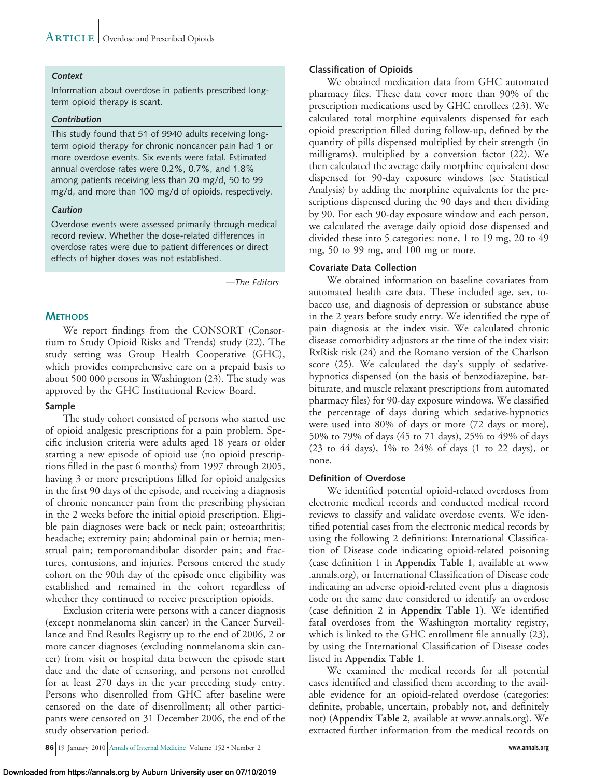#### **Context**

Information about overdose in patients prescribed longterm opioid therapy is scant.

#### **Contribution**

This study found that 51 of 9940 adults receiving longterm opioid therapy for chronic noncancer pain had 1 or more overdose events. Six events were fatal. Estimated annual overdose rates were 0.2%, 0.7%, and 1.8% among patients receiving less than 20 mg/d, 50 to 99 mg/d, and more than 100 mg/d of opioids, respectively.

#### **Caution**

Overdose events were assessed primarily through medical record review. Whether the dose-related differences in overdose rates were due to patient differences or direct effects of higher doses was not established.

*—The Editors*

#### **METHODS**

We report findings from the CONSORT (Consortium to Study Opioid Risks and Trends) study (22). The study setting was Group Health Cooperative (GHC), which provides comprehensive care on a prepaid basis to about 500 000 persons in Washington (23). The study was approved by the GHC Institutional Review Board.

#### **Sample**

The study cohort consisted of persons who started use of opioid analgesic prescriptions for a pain problem. Specific inclusion criteria were adults aged 18 years or older starting a new episode of opioid use (no opioid prescriptions filled in the past 6 months) from 1997 through 2005, having 3 or more prescriptions filled for opioid analgesics in the first 90 days of the episode, and receiving a diagnosis of chronic noncancer pain from the prescribing physician in the 2 weeks before the initial opioid prescription. Eligible pain diagnoses were back or neck pain; osteoarthritis; headache; extremity pain; abdominal pain or hernia; menstrual pain; temporomandibular disorder pain; and fractures, contusions, and injuries. Persons entered the study cohort on the 90th day of the episode once eligibility was established and remained in the cohort regardless of whether they continued to receive prescription opioids.

Exclusion criteria were persons with a cancer diagnosis (except nonmelanoma skin cancer) in the Cancer Surveillance and End Results Registry up to the end of 2006, 2 or more cancer diagnoses (excluding nonmelanoma skin cancer) from visit or hospital data between the episode start date and the date of censoring, and persons not enrolled for at least 270 days in the year preceding study entry. Persons who disenrolled from GHC after baseline were censored on the date of disenrollment; all other participants were censored on 31 December 2006, the end of the study observation period.

Downloaded from https://annals.org by Auburn University user on 07/10/2019

#### **Classification of Opioids**

We obtained medication data from GHC automated pharmacy files. These data cover more than 90% of the prescription medications used by GHC enrollees (23). We calculated total morphine equivalents dispensed for each opioid prescription filled during follow-up, defined by the quantity of pills dispensed multiplied by their strength (in milligrams), multiplied by a conversion factor (22). We then calculated the average daily morphine equivalent dose dispensed for 90-day exposure windows (see Statistical Analysis) by adding the morphine equivalents for the prescriptions dispensed during the 90 days and then dividing by 90. For each 90-day exposure window and each person, we calculated the average daily opioid dose dispensed and divided these into 5 categories: none, 1 to 19 mg, 20 to 49 mg, 50 to 99 mg, and 100 mg or more.

#### **Covariate Data Collection**

We obtained information on baseline covariates from automated health care data. These included age, sex, tobacco use, and diagnosis of depression or substance abuse in the 2 years before study entry. We identified the type of pain diagnosis at the index visit. We calculated chronic disease comorbidity adjustors at the time of the index visit: RxRisk risk (24) and the Romano version of the Charlson score (25). We calculated the day's supply of sedativehypnotics dispensed (on the basis of benzodiazepine, barbiturate, and muscle relaxant prescriptions from automated pharmacy files) for 90-day exposure windows. We classified the percentage of days during which sedative-hypnotics were used into 80% of days or more (72 days or more), 50% to 79% of days (45 to 71 days), 25% to 49% of days (23 to 44 days), 1% to 24% of days (1 to 22 days), or none.

#### **Definition of Overdose**

We identified potential opioid-related overdoses from electronic medical records and conducted medical record reviews to classify and validate overdose events. We identified potential cases from the electronic medical records by using the following 2 definitions: International Classification of Disease code indicating opioid-related poisoning (case definition 1 in **Appendix Table 1**, available at www .annals.org), or International Classification of Disease code indicating an adverse opioid-related event plus a diagnosis code on the same date considered to identify an overdose (case definition 2 in **Appendix Table 1**). We identified fatal overdoses from the Washington mortality registry, which is linked to the GHC enrollment file annually (23), by using the International Classification of Disease codes listed in **Appendix Table 1**.

We examined the medical records for all potential cases identified and classified them according to the available evidence for an opioid-related overdose (categories: definite, probable, uncertain, probably not, and definitely not) (**Appendix Table 2**, available at www.annals.org). We extracted further information from the medical records on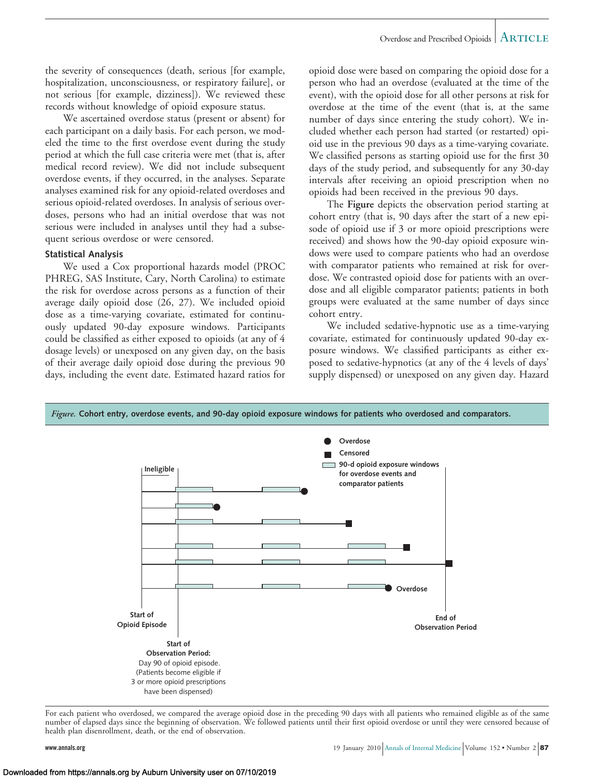the severity of consequences (death, serious [for example, hospitalization, unconsciousness, or respiratory failure], or not serious [for example, dizziness]). We reviewed these records without knowledge of opioid exposure status.

We ascertained overdose status (present or absent) for each participant on a daily basis. For each person, we modeled the time to the first overdose event during the study period at which the full case criteria were met (that is, after medical record review). We did not include subsequent overdose events, if they occurred, in the analyses. Separate analyses examined risk for any opioid-related overdoses and serious opioid-related overdoses. In analysis of serious overdoses, persons who had an initial overdose that was not serious were included in analyses until they had a subsequent serious overdose or were censored.

#### **Statistical Analysis**

We used a Cox proportional hazards model (PROC PHREG, SAS Institute, Cary, North Carolina) to estimate the risk for overdose across persons as a function of their average daily opioid dose (26, 27). We included opioid dose as a time-varying covariate, estimated for continuously updated 90-day exposure windows. Participants could be classified as either exposed to opioids (at any of 4 dosage levels) or unexposed on any given day, on the basis of their average daily opioid dose during the previous 90 days, including the event date. Estimated hazard ratios for

opioid dose were based on comparing the opioid dose for a person who had an overdose (evaluated at the time of the event), with the opioid dose for all other persons at risk for overdose at the time of the event (that is, at the same number of days since entering the study cohort). We included whether each person had started (or restarted) opioid use in the previous 90 days as a time-varying covariate. We classified persons as starting opioid use for the first 30 days of the study period, and subsequently for any 30-day intervals after receiving an opioid prescription when no opioids had been received in the previous 90 days.

The **Figure** depicts the observation period starting at cohort entry (that is, 90 days after the start of a new episode of opioid use if 3 or more opioid prescriptions were received) and shows how the 90-day opioid exposure windows were used to compare patients who had an overdose with comparator patients who remained at risk for overdose. We contrasted opioid dose for patients with an overdose and all eligible comparator patients; patients in both groups were evaluated at the same number of days since cohort entry.

We included sedative-hypnotic use as a time-varying covariate, estimated for continuously updated 90-day exposure windows. We classified participants as either exposed to sedative-hypnotics (at any of the 4 levels of days' supply dispensed) or unexposed on any given day. Hazard



For each patient who overdosed, we compared the average opioid dose in the preceding 90 days with all patients who remained eligible as of the same number of elapsed days since the beginning of observation. We followed patients until their first opioid overdose or until they were censored because of health plan disenrollment, death, or the end of observation.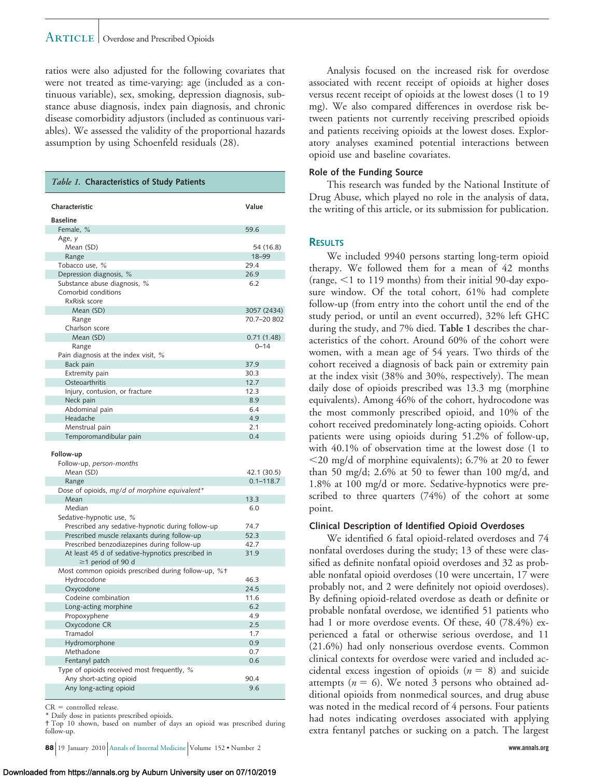ratios were also adjusted for the following covariates that were not treated as time-varying: age (included as a continuous variable), sex, smoking, depression diagnosis, substance abuse diagnosis, index pain diagnosis, and chronic disease comorbidity adjustors (included as continuous variables). We assessed the validity of the proportional hazards assumption by using Schoenfeld residuals (28).

| Table 1. Characteristics of Study Patients                                                  |               |
|---------------------------------------------------------------------------------------------|---------------|
| Characteristic                                                                              | Value         |
| <b>Baseline</b>                                                                             |               |
| Female, %                                                                                   | 59.6          |
| Age, y                                                                                      |               |
| Mean (SD)                                                                                   | 54 (16.8)     |
| Range                                                                                       | 18-99         |
| Tobacco use, %                                                                              | 29.4          |
| Depression diagnosis, %                                                                     | 26.9          |
| Substance abuse diagnosis, %                                                                | 6.2           |
| Comorbid conditions                                                                         |               |
| RxRisk score<br>Mean (SD)                                                                   | 3057 (2434)   |
| Range                                                                                       | 70.7-20 802   |
| Charlson score                                                                              |               |
| Mean (SD)                                                                                   | 0.71(1.48)    |
| Range                                                                                       | $0 - 14$      |
| Pain diagnosis at the index visit, %                                                        |               |
| Back pain                                                                                   | 37.9          |
| Extremity pain                                                                              | 30.3          |
| Osteoarthritis                                                                              | 12.7          |
| Injury, contusion, or fracture                                                              | 12.3          |
| Neck pain                                                                                   | 8.9           |
| Abdominal pain                                                                              | 6.4           |
| Headache                                                                                    | 4.9           |
| Menstrual pain<br>Temporomandibular pain                                                    | 2.1<br>0.4    |
| Follow-up<br>Follow-up, person-months                                                       |               |
| Mean (SD)                                                                                   | 42.1 (30.5)   |
| Range                                                                                       | $0.1 - 118.7$ |
| Dose of opioids, mg/d of morphine equivalent*                                               |               |
| Mean<br>Median                                                                              | 13.3          |
| Sedative-hypnotic use, %                                                                    | 6.0           |
| Prescribed any sedative-hypnotic during follow-up                                           | 74.7          |
| Prescribed muscle relaxants during follow-up<br>Prescribed benzodiazepines during follow-up | 52.3<br>42.7  |
| At least 45 d of sedative-hypnotics prescribed in                                           | 31.9          |
| $\geq$ 1 period of 90 d<br>Most common opioids prescribed during follow-up, %+              |               |
| Hydrocodone                                                                                 | 46.3          |
| Oxycodone                                                                                   | 24.5          |
| Codeine combination                                                                         | 11.6          |
| Long-acting morphine                                                                        | 6.2           |
| Propoxyphene                                                                                | 4.9           |
| Oxycodone CR                                                                                | 2.5           |
| Tramadol                                                                                    | 1.7           |
| Hydromorphone                                                                               | 0.9           |
| Methadone                                                                                   | 0.7           |
| Fentanyl patch                                                                              | 0.6           |
| Type of opioids received most frequently, %<br>Any short-acting opioid                      | 90.4          |
| Any long-acting opioid                                                                      | 9.6           |

 $CR = controlled release.$ 

\* Daily dose in patients prescribed opioids.

† Top 10 shown, based on number of days an opioid was prescribed during follow-up.

**88** 19 January 2010 Annals of Internal Medicine Volume 152 • Number 2 **www.annals.org**

Analysis focused on the increased risk for overdose associated with recent receipt of opioids at higher doses versus recent receipt of opioids at the lowest doses (1 to 19 mg). We also compared differences in overdose risk between patients not currently receiving prescribed opioids and patients receiving opioids at the lowest doses. Exploratory analyses examined potential interactions between opioid use and baseline covariates.

#### **Role of the Funding Source**

This research was funded by the National Institute of Drug Abuse, which played no role in the analysis of data, the writing of this article, or its submission for publication.

#### **RESULTS**

We included 9940 persons starting long-term opioid therapy. We followed them for a mean of 42 months (range,  $\leq 1$  to 119 months) from their initial 90-day exposure window. Of the total cohort, 61% had complete follow-up (from entry into the cohort until the end of the study period, or until an event occurred), 32% left GHC during the study, and 7% died. **Table 1** describes the characteristics of the cohort. Around 60% of the cohort were women, with a mean age of 54 years. Two thirds of the cohort received a diagnosis of back pain or extremity pain at the index visit (38% and 30%, respectively). The mean daily dose of opioids prescribed was 13.3 mg (morphine equivalents). Among 46% of the cohort, hydrocodone was the most commonly prescribed opioid, and 10% of the cohort received predominately long-acting opioids. Cohort patients were using opioids during 51.2% of follow-up, with 40.1% of observation time at the lowest dose (1 to 20 mg/d of morphine equivalents); 6.7% at 20 to fewer than 50 mg/d;  $2.6\%$  at 50 to fewer than 100 mg/d, and 1.8% at 100 mg/d or more. Sedative-hypnotics were prescribed to three quarters (74%) of the cohort at some point.

#### **Clinical Description of Identified Opioid Overdoses**

We identified 6 fatal opioid-related overdoses and 74 nonfatal overdoses during the study; 13 of these were classified as definite nonfatal opioid overdoses and 32 as probable nonfatal opioid overdoses (10 were uncertain, 17 were probably not, and 2 were definitely not opioid overdoses). By defining opioid-related overdose as death or definite or probable nonfatal overdose, we identified 51 patients who had 1 or more overdose events. Of these, 40 (78.4%) experienced a fatal or otherwise serious overdose, and 11 (21.6%) had only nonserious overdose events. Common clinical contexts for overdose were varied and included accidental excess ingestion of opioids  $(n = 8)$  and suicide attempts ( $n = 6$ ). We noted 3 persons who obtained additional opioids from nonmedical sources, and drug abuse was noted in the medical record of 4 persons. Four patients had notes indicating overdoses associated with applying extra fentanyl patches or sucking on a patch. The largest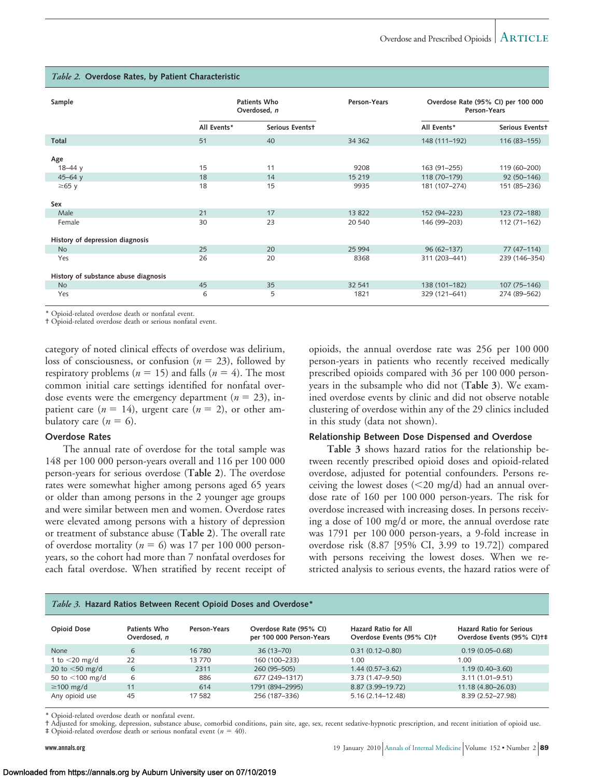| Sample                               | Patients Who<br>Overdosed, n |                 | Person-Years |                | Overdose Rate (95% CI) per 100 000<br>Person-Years |
|--------------------------------------|------------------------------|-----------------|--------------|----------------|----------------------------------------------------|
|                                      | All Events*                  | Serious Eventst |              | All Events*    | Serious Eventst                                    |
| Total                                | 51                           | 40              | 34 3 62      | 148 (111-192)  | 116 (83-155)                                       |
| Age                                  |                              |                 |              |                |                                                    |
| $18 - 44y$                           | 15                           | 11              | 9208         | 163 (91-255)   | 119 (60-200)                                       |
| $45 - 64$ y                          | 18                           | 14              | 15 2 19      | 118 (70-179)   | $92(50-146)$                                       |
| $\geq 65$ y<br>Sex                   | 18                           | 15              | 9935         | 181 (107-274)  | 151 (85-236)                                       |
|                                      |                              |                 |              |                |                                                    |
| Male                                 | 21                           | 17              | 13 822       | 152 (94-223)   | 123 (72-188)                                       |
| Female                               | 30                           | 23              | 20 540       | 146 (99-203)   | 112 (71-162)                                       |
| History of depression diagnosis      |                              |                 |              |                |                                                    |
| <b>No</b>                            | 25                           | 20              | 25 9 94      | $96(62 - 137)$ | $77(47-114)$                                       |
| Yes                                  | 26                           | 20              | 8368         | 311 (203-441)  | 239 (146-354)                                      |
| History of substance abuse diagnosis |                              |                 |              |                |                                                    |
| <b>No</b>                            | 45                           | 35              | 32 541       | 138 (101-182)  | 107 (75-146)                                       |
| Yes                                  | 6                            | 5               | 1821         | 329 (121-641)  | 274 (89-562)                                       |

#### *Table 2.* **Overdose Rates, by Patient Characteristic**

\* Opioid-related overdose death or nonfatal event.

† Opioid-related overdose death or serious nonfatal event.

category of noted clinical effects of overdose was delirium, loss of consciousness, or confusion ( $n = 23$ ), followed by respiratory problems ( $n = 15$ ) and falls ( $n = 4$ ). The most common initial care settings identified for nonfatal overdose events were the emergency department  $(n = 23)$ , inpatient care  $(n = 14)$ , urgent care  $(n = 2)$ , or other ambulatory care  $(n = 6)$ .

#### **Overdose Rates**

The annual rate of overdose for the total sample was 148 per 100 000 person-years overall and 116 per 100 000 person-years for serious overdose (**Table 2**). The overdose rates were somewhat higher among persons aged 65 years or older than among persons in the 2 younger age groups and were similar between men and women. Overdose rates were elevated among persons with a history of depression or treatment of substance abuse (**Table 2**). The overall rate of overdose mortality ( $n = 6$ ) was 17 per 100 000 personyears, so the cohort had more than 7 nonfatal overdoses for each fatal overdose. When stratified by recent receipt of opioids, the annual overdose rate was 256 per 100 000 person-years in patients who recently received medically prescribed opioids compared with 36 per 100 000 personyears in the subsample who did not (**Table 3**). We examined overdose events by clinic and did not observe notable clustering of overdose within any of the 29 clinics included in this study (data not shown).

#### **Relationship Between Dose Dispensed and Overdose**

**Table 3** shows hazard ratios for the relationship between recently prescribed opioid doses and opioid-related overdose, adjusted for potential confounders. Persons receiving the lowest doses  $\left( \langle 20 \rangle \text{mg/d} \right)$  had an annual overdose rate of 160 per 100 000 person-years. The risk for overdose increased with increasing doses. In persons receiving a dose of 100 mg/d or more, the annual overdose rate was 1791 per 100 000 person-years, a 9-fold increase in overdose risk (8.87 [95% CI, 3.99 to 19.72]) compared with persons receiving the lowest doses. When we restricted analysis to serious events, the hazard ratios were of

#### *Table 3.* **Hazard Ratios Between Recent Opioid Doses and Overdose\***

| <b>Opioid Dose</b> | Patients Who<br>Overdosed, n | Person-Years | Overdose Rate (95% CI)<br>per 100 000 Person-Years | Hazard Ratio for All<br>Overdose Events (95% CI)+ | <b>Hazard Ratio for Serious</b><br>Overdose Events (95% CI)+‡ |
|--------------------|------------------------------|--------------|----------------------------------------------------|---------------------------------------------------|---------------------------------------------------------------|
| None               | 6                            | 16780        | $36(13 - 70)$                                      | $0.31(0.12 - 0.80)$                               | $0.19(0.05 - 0.68)$                                           |
| 1 to $<$ 20 mg/d   | 22                           | 13 770       | 160 (100-233)                                      | 1.00                                              | 1.00                                                          |
| 20 to $<$ 50 mg/d  | 6                            | 2311         | 260 (95-505)                                       | $1.44(0.57-3.62)$                                 | $1.19(0.40 - 3.60)$                                           |
| 50 to <100 mg/d    | 6                            | 886          | 677 (249-1317)                                     | 3.73 (1.47-9.50)                                  | $3.11(1.01 - 9.51)$                                           |
| $\geq$ 100 mg/d    | 11                           | 614          | 1791 (894-2995)                                    | 8.87 (3.99-19.72)                                 | 11.18 (4.80-26.03)                                            |
| Any opioid use     | 45                           | 17 582       | 256 (187-336)                                      | $5.16(2.14 - 12.48)$                              | 8.39 (2.52-27.98)                                             |

\* Opioid-related overdose death or nonfatal event.

† Adjusted for smoking, depression, substance abuse, comorbid conditions, pain site, age, sex, recent sedative-hypnotic prescription, and recent initiation of opioid use.  $\ddagger$  Opioid-related overdose death or serious nonfatal event ( $n = 40$ ).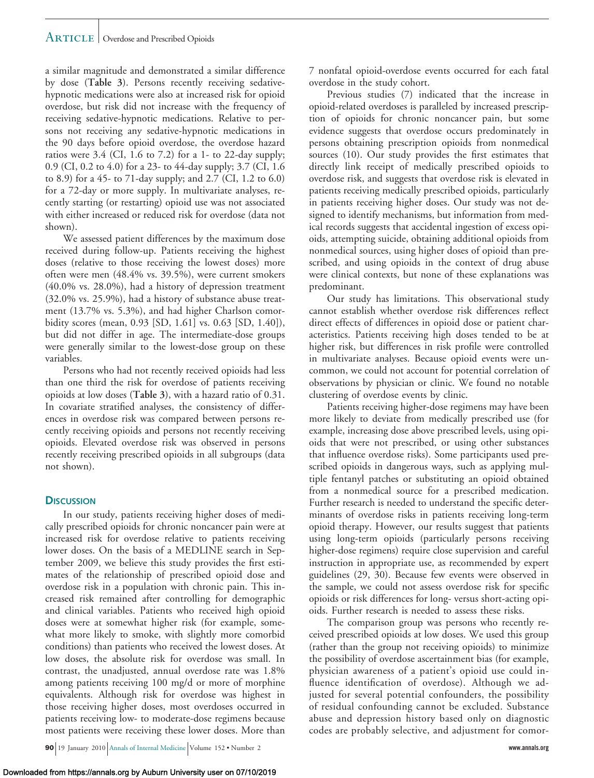a similar magnitude and demonstrated a similar difference by dose (**Table 3**). Persons recently receiving sedativehypnotic medications were also at increased risk for opioid overdose, but risk did not increase with the frequency of receiving sedative-hypnotic medications. Relative to persons not receiving any sedative-hypnotic medications in the 90 days before opioid overdose, the overdose hazard ratios were  $3.4$  (CI, 1.6 to 7.2) for a 1- to 22-day supply; 0.9 (CI, 0.2 to 4.0) for a 23- to 44-day supply; 3.7 (CI, 1.6 to 8.9) for a 45- to 71-day supply; and 2.7 (CI, 1.2 to 6.0) for a 72-day or more supply. In multivariate analyses, recently starting (or restarting) opioid use was not associated with either increased or reduced risk for overdose (data not shown).

We assessed patient differences by the maximum dose received during follow-up. Patients receiving the highest doses (relative to those receiving the lowest doses) more often were men (48.4% vs. 39.5%), were current smokers (40.0% vs. 28.0%), had a history of depression treatment (32.0% vs. 25.9%), had a history of substance abuse treatment (13.7% vs. 5.3%), and had higher Charlson comorbidity scores (mean, 0.93 [SD, 1.61] vs. 0.63 [SD, 1.40]), but did not differ in age. The intermediate-dose groups were generally similar to the lowest-dose group on these variables.

Persons who had not recently received opioids had less than one third the risk for overdose of patients receiving opioids at low doses (**Table 3**), with a hazard ratio of 0.31. In covariate stratified analyses, the consistency of differences in overdose risk was compared between persons recently receiving opioids and persons not recently receiving opioids. Elevated overdose risk was observed in persons recently receiving prescribed opioids in all subgroups (data not shown).

#### **DISCUSSION**

In our study, patients receiving higher doses of medically prescribed opioids for chronic noncancer pain were at increased risk for overdose relative to patients receiving lower doses. On the basis of a MEDLINE search in September 2009, we believe this study provides the first estimates of the relationship of prescribed opioid dose and overdose risk in a population with chronic pain. This increased risk remained after controlling for demographic and clinical variables. Patients who received high opioid doses were at somewhat higher risk (for example, somewhat more likely to smoke, with slightly more comorbid conditions) than patients who received the lowest doses. At low doses, the absolute risk for overdose was small. In contrast, the unadjusted, annual overdose rate was 1.8% among patients receiving 100 mg/d or more of morphine equivalents. Although risk for overdose was highest in those receiving higher doses, most overdoses occurred in patients receiving low- to moderate-dose regimens because most patients were receiving these lower doses. More than

**90** 19 January 2010 Annals of Internal Medicine Volume 152 • Number 2 **www.annals.org**

7 nonfatal opioid-overdose events occurred for each fatal overdose in the study cohort.

Previous studies (7) indicated that the increase in opioid-related overdoses is paralleled by increased prescription of opioids for chronic noncancer pain, but some evidence suggests that overdose occurs predominately in persons obtaining prescription opioids from nonmedical sources (10). Our study provides the first estimates that directly link receipt of medically prescribed opioids to overdose risk, and suggests that overdose risk is elevated in patients receiving medically prescribed opioids, particularly in patients receiving higher doses. Our study was not designed to identify mechanisms, but information from medical records suggests that accidental ingestion of excess opioids, attempting suicide, obtaining additional opioids from nonmedical sources, using higher doses of opioid than prescribed, and using opioids in the context of drug abuse were clinical contexts, but none of these explanations was predominant.

Our study has limitations. This observational study cannot establish whether overdose risk differences reflect direct effects of differences in opioid dose or patient characteristics. Patients receiving high doses tended to be at higher risk, but differences in risk profile were controlled in multivariate analyses. Because opioid events were uncommon, we could not account for potential correlation of observations by physician or clinic. We found no notable clustering of overdose events by clinic.

Patients receiving higher-dose regimens may have been more likely to deviate from medically prescribed use (for example, increasing dose above prescribed levels, using opioids that were not prescribed, or using other substances that influence overdose risks). Some participants used prescribed opioids in dangerous ways, such as applying multiple fentanyl patches or substituting an opioid obtained from a nonmedical source for a prescribed medication. Further research is needed to understand the specific determinants of overdose risks in patients receiving long-term opioid therapy. However, our results suggest that patients using long-term opioids (particularly persons receiving higher-dose regimens) require close supervision and careful instruction in appropriate use, as recommended by expert guidelines (29, 30). Because few events were observed in the sample, we could not assess overdose risk for specific opioids or risk differences for long- versus short-acting opioids. Further research is needed to assess these risks.

The comparison group was persons who recently received prescribed opioids at low doses. We used this group (rather than the group not receiving opioids) to minimize the possibility of overdose ascertainment bias (for example, physician awareness of a patient's opioid use could influence identification of overdose). Although we adjusted for several potential confounders, the possibility of residual confounding cannot be excluded. Substance abuse and depression history based only on diagnostic codes are probably selective, and adjustment for comor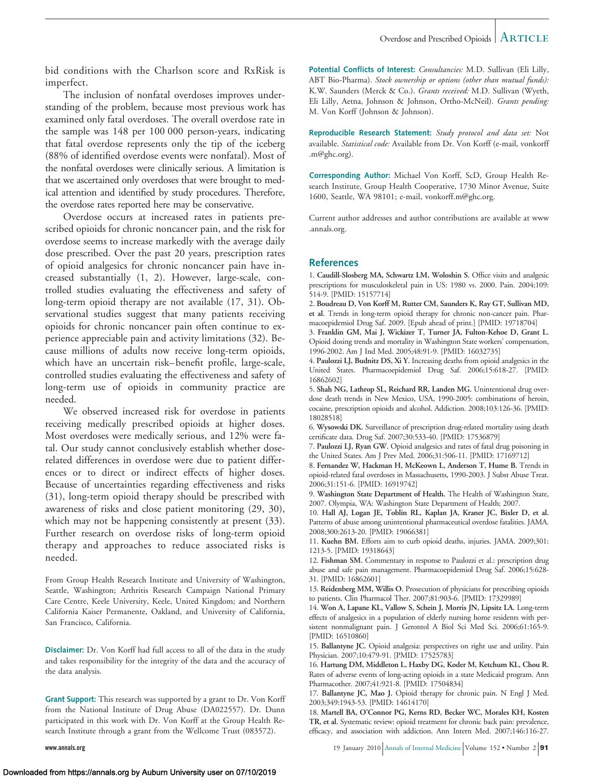bid conditions with the Charlson score and RxRisk is imperfect.

The inclusion of nonfatal overdoses improves understanding of the problem, because most previous work has examined only fatal overdoses. The overall overdose rate in the sample was 148 per 100 000 person-years, indicating that fatal overdose represents only the tip of the iceberg (88% of identified overdose events were nonfatal). Most of the nonfatal overdoses were clinically serious. A limitation is that we ascertained only overdoses that were brought to medical attention and identified by study procedures. Therefore, the overdose rates reported here may be conservative.

Overdose occurs at increased rates in patients prescribed opioids for chronic noncancer pain, and the risk for overdose seems to increase markedly with the average daily dose prescribed. Over the past 20 years, prescription rates of opioid analgesics for chronic noncancer pain have increased substantially (1, 2). However, large-scale, controlled studies evaluating the effectiveness and safety of long-term opioid therapy are not available (17, 31). Observational studies suggest that many patients receiving opioids for chronic noncancer pain often continue to experience appreciable pain and activity limitations (32). Because millions of adults now receive long-term opioids, which have an uncertain risk–benefit profile, large-scale, controlled studies evaluating the effectiveness and safety of long-term use of opioids in community practice are needed.

We observed increased risk for overdose in patients receiving medically prescribed opioids at higher doses. Most overdoses were medically serious, and 12% were fatal. Our study cannot conclusively establish whether doserelated differences in overdose were due to patient differences or to direct or indirect effects of higher doses. Because of uncertainties regarding effectiveness and risks (31), long-term opioid therapy should be prescribed with awareness of risks and close patient monitoring (29, 30), which may not be happening consistently at present (33). Further research on overdose risks of long-term opioid therapy and approaches to reduce associated risks is needed.

From Group Health Research Institute and University of Washington, Seattle, Washington; Arthritis Research Campaign National Primary Care Centre, Keele University, Keele, United Kingdom; and Northern California Kaiser Permanente, Oakland, and University of California, San Francisco, California.

**Disclaimer:** Dr. Von Korff had full access to all of the data in the study and takes responsibility for the integrity of the data and the accuracy of the data analysis.

**Grant Support:** This research was supported by a grant to Dr. Von Korff from the National Institute of Drug Abuse (DA022557). Dr. Dunn participated in this work with Dr. Von Korff at the Group Health Research Institute through a grant from the Wellcome Trust (083572).

**Potential Conflicts of Interest:** *Consultancies:* M.D. Sullivan (Eli Lilly, ABT Bio-Pharma). *Stock ownership or options (other than mutual funds):* K.W. Saunders (Merck & Co.). *Grants received:* M.D. Sullivan (Wyeth, Eli Lilly, Aetna, Johnson & Johnson, Ortho-McNeil). *Grants pending:* M. Von Korff (Johnson & Johnson).

**Reproducible Research Statement:** *Study protocol and data set:* Not available. *Statistical code:* Available from Dr. Von Korff (e-mail, vonkorff .m@ghc.org).

**Corresponding Author:** Michael Von Korff, ScD, Group Health Research Institute, Group Health Cooperative, 1730 Minor Avenue, Suite 1600, Seattle, WA 98101; e-mail, vonkorff.m@ghc.org.

Current author addresses and author contributions are available at www .annals.org.

#### **References**

1. **Caudill-Slosberg MA, Schwartz LM, Woloshin S.** Office visits and analgesic prescriptions for musculoskeletal pain in US: 1980 vs. 2000. Pain. 2004;109: 514-9. [PMID: 15157714]

2. **Boudreau D, Von Korff M, Rutter CM, Saunders K, Ray GT, Sullivan MD, et al.** Trends in long-term opioid therapy for chronic non-cancer pain. Pharmacoepidemiol Drug Saf. 2009. [Epub ahead of print.] [PMID: 19718704]

3. **Franklin GM, Mai J, Wickizer T, Turner JA, Fulton-Kehoe D, Grant L.** Opioid dosing trends and mortality in Washington State workers' compensation, 1996-2002. Am J Ind Med. 2005;48:91-9. [PMID: 16032735]

4. **Paulozzi LJ, Budnitz DS, Xi Y.** Increasing deaths from opioid analgesics in the United States. Pharmacoepidemiol Drug Saf. 2006;15:618-27. [PMID: 16862602]

5. **Shah NG, Lathrop SL, Reichard RR, Landen MG.** Unintentional drug overdose death trends in New Mexico, USA, 1990-2005: combinations of heroin, cocaine, prescription opioids and alcohol. Addiction. 2008;103:126-36. [PMID: 18028518]

6. **Wysowski DK.** Surveillance of prescription drug-related mortality using death certificate data. Drug Saf. 2007;30:533-40. [PMID: 17536879]

7. **Paulozzi LJ, Ryan GW.** Opioid analgesics and rates of fatal drug poisoning in the United States. Am J Prev Med. 2006;31:506-11. [PMID: 17169712]

8. **Fernandez W, Hackman H, McKeown L, Anderson T, Hume B.** Trends in opioid-related fatal overdoses in Massachusetts, 1990-2003. J Subst Abuse Treat. 2006;31:151-6. [PMID: 16919742]

9. **Washington State Department of Health.** The Health of Washington State, 2007. Olympia, WA: Washington State Department of Health; 2007.

10. **Hall AJ, Logan JE, Toblin RL, Kaplan JA, Kraner JC, Bixler D, et al.** Patterns of abuse among unintentional pharmaceutical overdose fatalities. JAMA. 2008;300:2613-20. [PMID: 19066381]

11. **Kuehn BM.** Efforts aim to curb opioid deaths, injuries. JAMA. 2009;301: 1213-5. [PMID: 19318643]

12. **Fishman SM.** Commentary in response to Paulozzi et al.: prescription drug abuse and safe pain management. Pharmacoepidemiol Drug Saf. 2006;15:628- 31. [PMID: 16862601]

13. **Reidenberg MM, Willis O.** Prosecution of physicians for prescribing opioids to patients. Clin Pharmacol Ther. 2007;81:903-6. [PMID: 17329989]

14. **Won A, Lapane KL, Vallow S, Schein J, Morris JN, Lipsitz LA.** Long-term effects of analgesics in a population of elderly nursing home residents with persistent nonmalignant pain. J Gerontol A Biol Sci Med Sci. 2006;61:165-9. [PMID: 16510860]

15. **Ballantyne JC.** Opioid analgesia: perspectives on right use and utility. Pain Physician. 2007;10:479-91. [PMID: 17525783]

16. **Hartung DM, Middleton L, Haxby DG, Koder M, Ketchum KL, Chou R.** Rates of adverse events of long-acting opioids in a state Medicaid program. Ann Pharmacother. 2007;41:921-8. [PMID: 17504834]

17. **Ballantyne JC, Mao J.** Opioid therapy for chronic pain. N Engl J Med. 2003;349:1943-53. [PMID: 14614170]

18. **Martell BA, O'Connor PG, Kerns RD, Becker WC, Morales KH, Kosten TR, et al.** Systematic review: opioid treatment for chronic back pain: prevalence, efficacy, and association with addiction. Ann Intern Med. 2007;146:116-27.

**www.annals.org** 19 January 2010 Annals of Internal Medicine Volume 152 • Number 2 91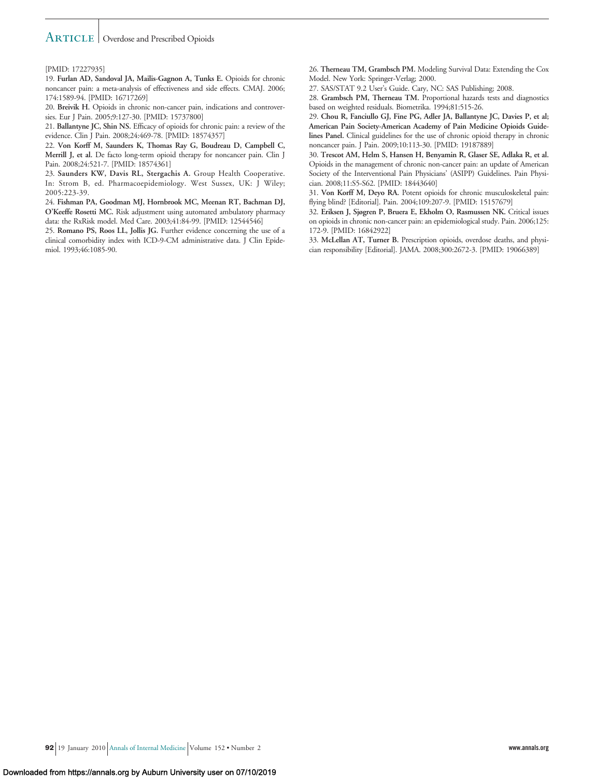#### [PMID: 17227935]

19. **Furlan AD, Sandoval JA, Mailis-Gagnon A, Tunks E.** Opioids for chronic noncancer pain: a meta-analysis of effectiveness and side effects. CMAJ. 2006; 174:1589-94. [PMID: 16717269]

20. **Breivik H.** Opioids in chronic non-cancer pain, indications and controversies. Eur J Pain. 2005;9:127-30. [PMID: 15737800]

21. **Ballantyne JC, Shin NS.** Efficacy of opioids for chronic pain: a review of the evidence. Clin J Pain. 2008;24:469-78. [PMID: 18574357]

22. **Von Korff M, Saunders K, Thomas Ray G, Boudreau D, Campbell C, Merrill J, et al.** De facto long-term opioid therapy for noncancer pain. Clin J Pain. 2008;24:521-7. [PMID: 18574361]

23. **Saunders KW, Davis RL, Stergachis A.** Group Health Cooperative. In: Strom B, ed. Pharmacoepidemiology. West Sussex, UK: J Wiley; 2005:223-39.

24. **Fishman PA, Goodman MJ, Hornbrook MC, Meenan RT, Bachman DJ, O'Keeffe Rosetti MC.** Risk adjustment using automated ambulatory pharmacy data: the RxRisk model. Med Care. 2003;41:84-99. [PMID: 12544546]

25. **Romano PS, Roos LL, Jollis JG.** Further evidence concerning the use of a clinical comorbidity index with ICD-9-CM administrative data. J Clin Epidemiol. 1993;46:1085-90.

26. **Therneau TM, Grambsch PM.** Modeling Survival Data: Extending the Cox Model. New York: Springer-Verlag; 2000.

27. SAS/STAT 9.2 User's Guide. Cary, NC: SAS Publishing; 2008.

28. **Grambsch PM, Therneau TM.** Proportional hazards tests and diagnostics based on weighted residuals. Biometrika. 1994;81:515-26.

29. **Chou R, Fanciullo GJ, Fine PG, Adler JA, Ballantyne JC, Davies P, et al; American Pain Society-American Academy of Pain Medicine Opioids Guidelines Panel.** Clinical guidelines for the use of chronic opioid therapy in chronic noncancer pain. J Pain. 2009;10:113-30. [PMID: 19187889]

30. **Trescot AM, Helm S, Hansen H, Benyamin R, Glaser SE, Adlaka R, et al.** Opioids in the management of chronic non-cancer pain: an update of American Society of the Interventional Pain Physicians' (ASIPP) Guidelines. Pain Physician. 2008;11:S5-S62. [PMID: 18443640]

31. **Von Korff M, Deyo RA.** Potent opioids for chronic musculoskeletal pain: flying blind? [Editorial]. Pain. 2004;109:207-9. [PMID: 15157679]

32. **Eriksen J, Sjøgren P, Bruera E, Ekholm O, Rasmussen NK.** Critical issues on opioids in chronic non-cancer pain: an epidemiological study. Pain. 2006;125: 172-9. [PMID: 16842922]

33. **McLellan AT, Turner B.** Prescription opioids, overdose deaths, and physician responsibility [Editorial]. JAMA. 2008;300:2672-3. [PMID: 19066389]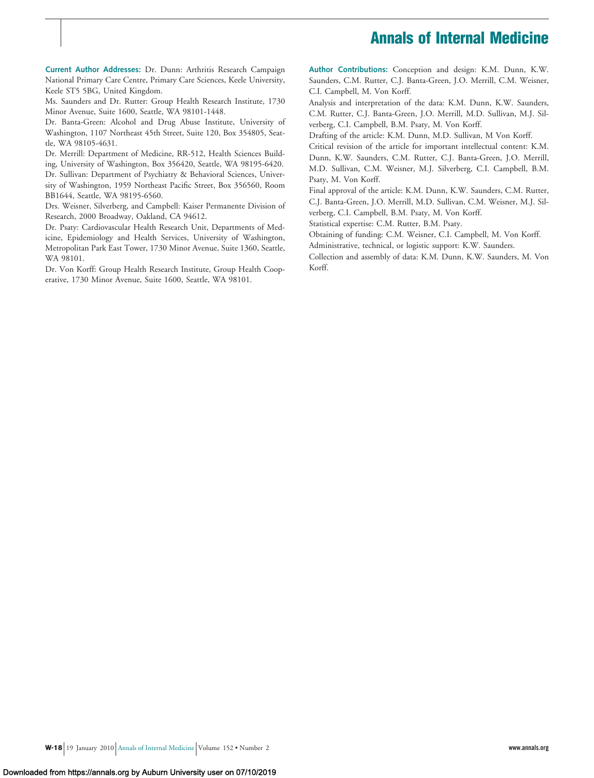# **Annals of Internal Medicine**

**Current Author Addresses:** Dr. Dunn: Arthritis Research Campaign National Primary Care Centre, Primary Care Sciences, Keele University, Keele ST5 5BG, United Kingdom.

Ms. Saunders and Dr. Rutter: Group Health Research Institute, 1730 Minor Avenue, Suite 1600, Seattle, WA 98101-1448.

Dr. Banta-Green: Alcohol and Drug Abuse Institute, University of Washington, 1107 Northeast 45th Street, Suite 120, Box 354805, Seattle, WA 98105-4631.

Dr. Merrill: Department of Medicine, RR-512, Health Sciences Building, University of Washington, Box 356420, Seattle, WA 98195-6420.

Dr. Sullivan: Department of Psychiatry & Behavioral Sciences, University of Washington, 1959 Northeast Pacific Street, Box 356560, Room BB1644, Seattle, WA 98195-6560.

Drs. Weisner, Silverberg, and Campbell: Kaiser Permanente Division of Research, 2000 Broadway, Oakland, CA 94612.

Dr. Psaty: Cardiovascular Health Research Unit, Departments of Medicine, Epidemiology and Health Services, University of Washington, Metropolitan Park East Tower, 1730 Minor Avenue, Suite 1360, Seattle, WA 98101.

Dr. Von Korff: Group Health Research Institute, Group Health Cooperative, 1730 Minor Avenue, Suite 1600, Seattle, WA 98101.

**Author Contributions:** Conception and design: K.M. Dunn, K.W. Saunders, C.M. Rutter, C.J. Banta-Green, J.O. Merrill, C.M. Weisner, C.I. Campbell, M. Von Korff.

Analysis and interpretation of the data: K.M. Dunn, K.W. Saunders, C.M. Rutter, C.J. Banta-Green, J.O. Merrill, M.D. Sullivan, M.J. Silverberg, C.I. Campbell, B.M. Psaty, M. Von Korff.

Drafting of the article: K.M. Dunn, M.D. Sullivan, M Von Korff.

Critical revision of the article for important intellectual content: K.M. Dunn, K.W. Saunders, C.M. Rutter, C.J. Banta-Green, J.O. Merrill, M.D. Sullivan, C.M. Weisner, M.J. Silverberg, C.I. Campbell, B.M. Psaty, M. Von Korff.

Final approval of the article: K.M. Dunn, K.W. Saunders, C.M. Rutter, C.J. Banta-Green, J.O. Merrill, M.D. Sullivan, C.M. Weisner, M.J. Silverberg, C.I. Campbell, B.M. Psaty, M. Von Korff.

Statistical expertise: C.M. Rutter, B.M. Psaty.

Obtaining of funding: C.M. Weisner, C.I. Campbell, M. Von Korff.

Administrative, technical, or logistic support: K.W. Saunders. Collection and assembly of data: K.M. Dunn, K.W. Saunders, M. Von

Korff.